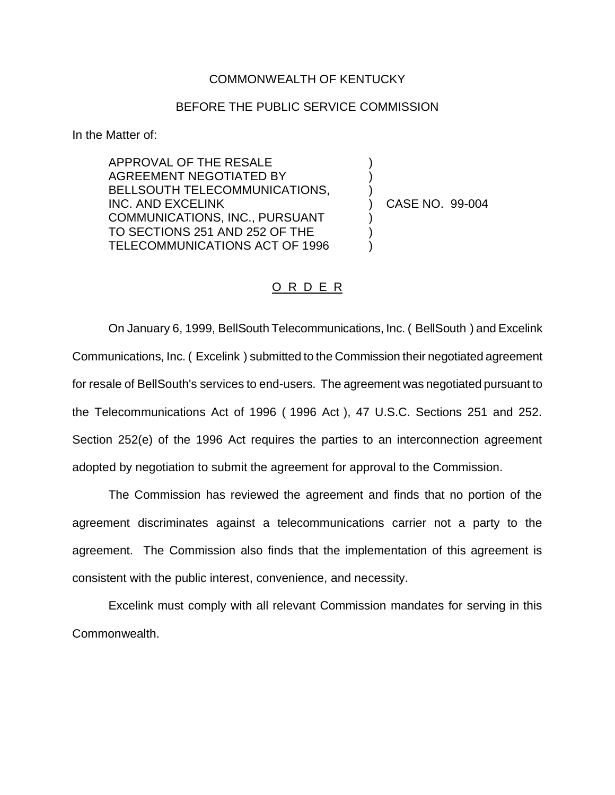## COMMONWEALTH OF KENTUCKY

## BEFORE THE PUBLIC SERVICE COMMISSION

In the Matter of:

APPROVAL OF THE RESALE AGREEMENT NEGOTIATED BY BELLSOUTH TELECOMMUNICATIONS, INC. AND EXCELINK COMMUNICATIONS, INC., PURSUANT TO SECTIONS 251 AND 252 OF THE TELECOMMUNICATIONS ACT OF 1996

) CASE NO. 99-004

) ) )

) ) )

## O R D E R

On January 6, 1999, BellSouth Telecommunications, Inc. ( BellSouth ) and Excelink Communications, Inc. ( Excelink ) submitted to the Commission their negotiated agreement for resale of BellSouth's services to end-users. The agreement was negotiated pursuant to the Telecommunications Act of 1996 ( 1996 Act ), 47 U.S.C. Sections 251 and 252. Section 252(e) of the 1996 Act requires the parties to an interconnection agreement adopted by negotiation to submit the agreement for approval to the Commission.

The Commission has reviewed the agreement and finds that no portion of the agreement discriminates against a telecommunications carrier not a party to the agreement. The Commission also finds that the implementation of this agreement is consistent with the public interest, convenience, and necessity.

Excelink must comply with all relevant Commission mandates for serving in this Commonwealth.